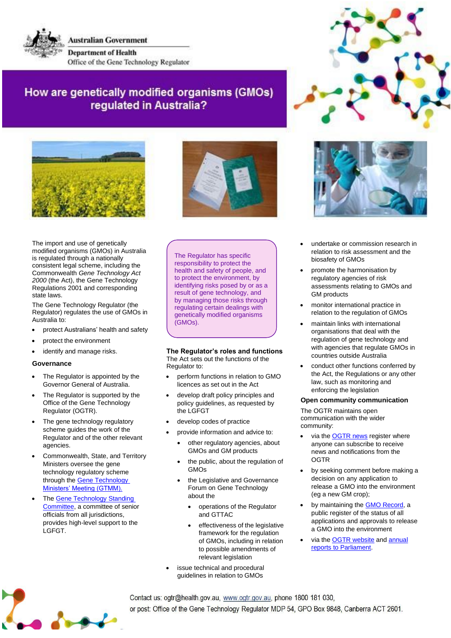**Australian Government Department of Health** Office of the Gene Technology Regulator

# How are genetically modified organisms (GMOs) requlated in Australia?





The import and use of genetically modified organisms (GMOs) in Australia is regulated through a nationally consistent legal scheme, including the Commonwealth *Gene Technology Act 2000* (the Act), the Gene Technology Regulations 2001 and corresponding state laws.

The Gene Technology Regulator (the Regulator) regulates the use of GMOs in Australia to:

- protect Australians' health and safety
- protect the environment
- identify and manage risks.

## **Governance**

- The Regulator is appointed by the Governor General of Australia.
- The Regulator is supported by the Office of the Gene Technology Regulator (OGTR).
- The gene technology regulatory scheme guides the work of the Regulator and of the other relevant agencies.
- Commonwealth, State, and Territory Ministers oversee the gene technology regulatory scheme through the **Gene Technology** [Ministers' Meeting \(GTMM\).](http://www.health.gov.au/internet/main/publishing.nsf/Content/gene-gtmc.htm)
- The **[Gene Technology Standing](http://www.health.gov.au/internet/main/publishing.nsf/Content/gene-gtstandingcommittee.htm)** [Committee,](http://www.health.gov.au/internet/main/publishing.nsf/Content/gene-gtstandingcommittee.htm) a committee of senior officials from all jurisdictions, provides high-level support to the LGFGT.

The Regulator has specific responsibility to protect the health and safety of people, and to protect the environment, by identifying risks posed by or as a result of gene technology, and by managing those risks through regulating certain dealings with genetically modified organisms (GMOs).

#### **The Regulator's roles and functions** The Act sets out the functions of the Regulator to:

- perform functions in relation to GMO licences as set out in the Act
- develop draft policy principles and policy guidelines, as requested by the LGFGT
- develop codes of practice
- provide information and advice to:
	- other regulatory agencies, about GMOs and GM products
	- the public, about the regulation of GMOs
	- the Legislative and Governance Forum on Gene Technology about the
		- operations of the Regulator and GTTAC
		- effectiveness of the legislative framework for the regulation of GMOs, including in relation to possible amendments of relevant legislation
- issue technical and procedural guidelines in relation to GMOs





- undertake or commission research in relation to risk assessment and the biosafety of GMOs
- promote the harmonisation by regulatory agencies of risk assessments relating to GMOs and GM products
- monitor international practice in relation to the regulation of GMOs
- maintain links with international organisations that deal with the regulation of gene technology and with agencies that regulate GMOs in countries outside Australia
- conduct other functions conferred by the Act, the Regulations or any other law, such as monitoring and enforcing the legislation

## **Open community communication**

The OGTR maintains open communication with the wider community:

- via the [OGTR news](https://www.ogtr.gov.au/about-ogtr/contact-and-subscribe/subscribe-ogtr-news) register where anyone can subscribe to receive news and notifications from the **OGTR**
- by seeking comment before making a decision on any application to release a GMO into the environment (eg a new GM crop);
- by maintaining the **GMO Record**, a public register of the status of all applications and approvals to release a GMO into the environment
- via the **OGTR** website and **annual** reports to [Parliament.](https://www.ogtr.gov.au/resources/collections/annual-reports-operations-gene-technology-regulator)

Contact us: ogtr@health.gov.au, www.ogtr.gov.au, phone 1800 181 030, or post: Office of the Gene Technology Regulator MDP 54, GPO Box 9848, Canberra ACT 2601.